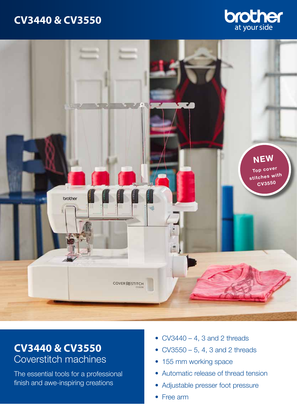# **CV3440 & CV3550**





# **CV3440 & CV3550** Coverstitch machines

The essential tools for a professional finish and awe-inspiring creations

- $CV3440 4$ , 3 and 2 threads
- $CV3550 5$ , 4, 3 and 2 threads
- 155 mm working space
- Automatic release of thread tension
- Adjustable presser foot pressure
- Free arm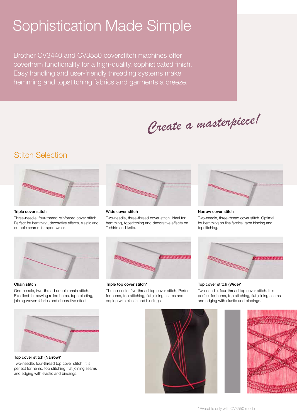# Sophistication Made Simple

Brother CV3440 and CV3550 coverstitch machines offer coverhem functionality for a high-quality, sophisticated finish. Easy handling and user-friendly threading systems make hemming and topstitching fabrics and garments a breeze.

*Create a masterpiece!*

### Stitch Selection



#### Triple cover stitch

Three-needle, four-thread reinforced cover stitch. Perfect for hemming, decorative effects, elastic and durable seams for sportswear.



#### Wide cover stitch

Two-needle, three-thread cover stitch. Ideal for hemming, topstitching and decorative effects on T-shirts and knits.



#### Narrow cover stitch

Two-needle, three-thread cover stitch. Optimal for hemming on fine fabrics, tape binding and topstitching.



#### Chain stitch

One-needle, two-thread double chain stitch. Excellent for sewing rolled hems, tape binding, joining woven fabrics and decorative effects.



Triple top cover stitch\*

Three-needle, five-thread top cover stitch. Perfect for hems, top stitching, flat joining seams and edging with elastic and bindings.



#### Top cover stitch (Wide)\*

Two-needle, four-thread top cover stitch. It is perfect for hems, top stitching, flat joining seams and edging with elastic and bindings.



Top cover stitch (Narrow)\*

Two-needle, four-thread top cover stitch. It is perfect for hems, top stitching, flat joining seams and edging with elastic and bindings.



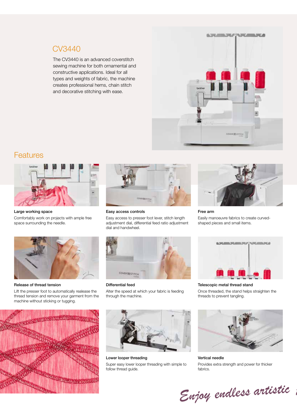### CV3440

The CV3440 is an advanced coverstitch sewing machine for both ornamental and constructive applications. Ideal for all types and weights of fabric, the machine creates professional hems, chain stitch and decorative stitching with ease.



### **Features**



Large working space Comfortably work on projects with ample free space surrounding the needle.



Easy access controls

Easy access to presser foot lever, stitch length adjustment dial, differential feed ratio adjustment dial and handwheel.



Free arm Easily manoeuvre fabrics to create curvedshaped pieces and small items.



Release of thread tension

Lift the presser foot to automatically realease the thread tension and remove your garment from the machine without sticking or tugging.





Differential feed Alter the speed at which your fabric is feeding through the machine.



Lower looper threading Super easy lower looper threading with simple to follow thread guide.



Telescopic metal thread stand Once threaded, the stand helps straighten the threads to prevent tangling.



Vertical needle Provides extra strength and power for thicker fabrics.

 $E$ njoy endless artistic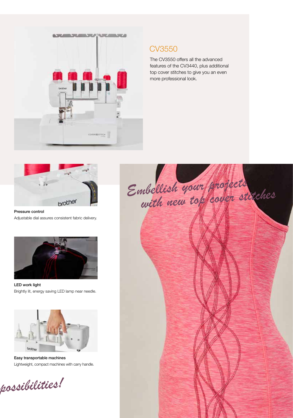

### CV3550

The CV3550 offers all the advanced features of the CV3440, plus additional top cover stitches to give you an even more professional look.



Pressure control Adjustable dial assures consistent fabric delivery.



LED work light Brightly lit, energy saving LED lamp near needle.



Easy transportable machines Lightweight, compact machines with carry handle.

*Enjoy endless artistic possibilities!*

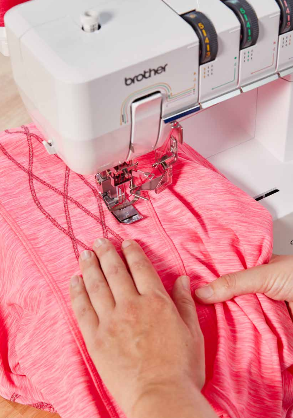